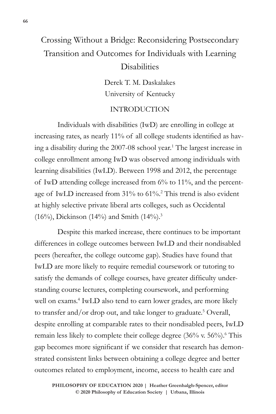# Crossing Without a Bridge: Reconsidering Postsecondary Transition and Outcomes for Individuals with Learning **Disabilities**

Derek T. M. Daskalakes University of Kentucky

## INTRODUCTION

Individuals with disabilities (IwD) are enrolling in college at increasing rates, as nearly 11% of all college students identified as having a disability during the 2007-08 school year.1 The largest increase in college enrollment among IwD was observed among individuals with learning disabilities (IwLD). Between 1998 and 2012, the percentage of IwD attending college increased from 6% to 11%, and the percentage of IwLD increased from 31% to 61%.2 This trend is also evident at highly selective private liberal arts colleges, such as Occidental (16%), Dickinson (14%) and Smith (14%).<sup>3</sup>

Despite this marked increase, there continues to be important differences in college outcomes between IwLD and their nondisabled peers (hereafter, the college outcome gap). Studies have found that IwLD are more likely to require remedial coursework or tutoring to satisfy the demands of college courses, have greater difficulty understanding course lectures, completing coursework, and performing well on exams.<sup>4</sup> IwLD also tend to earn lower grades, are more likely to transfer and/or drop out, and take longer to graduate.<sup>5</sup> Overall, despite enrolling at comparable rates to their nondisabled peers, IwLD remain less likely to complete their college degree (36% v. 56%).<sup>6</sup> This gap becomes more significant if we consider that research has demonstrated consistent links between obtaining a college degree and better outcomes related to employment, income, access to health care and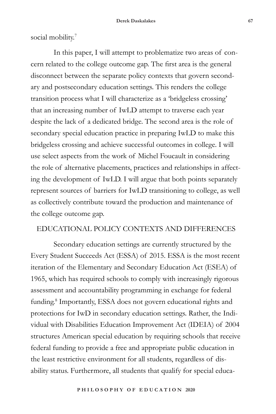social mobility.<sup>7</sup>

In this paper, I will attempt to problematize two areas of concern related to the college outcome gap. The first area is the general disconnect between the separate policy contexts that govern secondary and postsecondary education settings. This renders the college transition process what I will characterize as a 'bridgeless crossing' that an increasing number of IwLD attempt to traverse each year despite the lack of a dedicated bridge. The second area is the role of secondary special education practice in preparing IwLD to make this bridgeless crossing and achieve successful outcomes in college. I will use select aspects from the work of Michel Foucault in considering the role of alternative placements, practices and relationships in affecting the development of IwLD. I will argue that both points separately represent sources of barriers for IwLD transitioning to college, as well as collectively contribute toward the production and maintenance of the college outcome gap.

# EDUCATIONAL POLICY CONTEXTS AND DIFFERENCES

Secondary education settings are currently structured by the Every Student Succeeds Act (ESSA) of 2015. ESSA is the most recent iteration of the Elementary and Secondary Education Act (ESEA) of 1965, which has required schools to comply with increasingly rigorous assessment and accountability programming in exchange for federal funding.<sup>8</sup> Importantly, ESSA does not govern educational rights and protections for IwD in secondary education settings. Rather, the Individual with Disabilities Education Improvement Act (IDEIA) of 2004 structures American special education by requiring schools that receive federal funding to provide a free and appropriate public education in the least restrictive environment for all students, regardless of disability status. Furthermore, all students that qualify for special educa-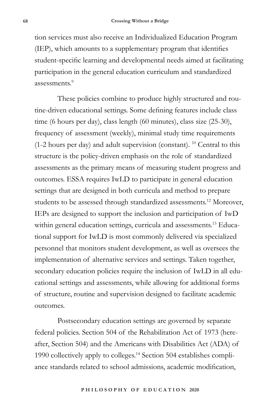tion services must also receive an Individualized Education Program (IEP), which amounts to a supplementary program that identifies student-specific learning and developmental needs aimed at facilitating participation in the general education curriculum and standardized assessments<sup>9</sup>

These policies combine to produce highly structured and routine-driven educational settings. Some defining features include class time (6 hours per day), class length (60 minutes), class size (25-30), frequency of assessment (weekly), minimal study time requirements  $(1-2$  hours per day) and adult supervision (constant). <sup>10</sup> Central to this structure is the policy-driven emphasis on the role of standardized assessments as the primary means of measuring student progress and outcomes. ESSA requires IwLD to participate in general education settings that are designed in both curricula and method to prepare students to be assessed through standardized assessments.12 Moreover, IEPs are designed to support the inclusion and participation of IwD within general education settings, curricula and assessments.<sup>13</sup> Educational support for IwLD is most commonly delivered via specialized personnel that monitors student development, as well as oversees the implementation of alternative services and settings. Taken together, secondary education policies require the inclusion of IwLD in all educational settings and assessments, while allowing for additional forms of structure, routine and supervision designed to facilitate academic outcomes.

Postsecondary education settings are governed by separate federal policies. Section 504 of the Rehabilitation Act of 1973 (hereafter, Section 504) and the Americans with Disabilities Act (ADA) of 1990 collectively apply to colleges.14 Section 504 establishes compliance standards related to school admissions, academic modification,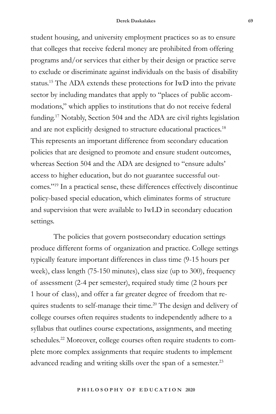student housing, and university employment practices so as to ensure that colleges that receive federal money are prohibited from offering programs and/or services that either by their design or practice serve to exclude or discriminate against individuals on the basis of disability status.15 The ADA extends these protections for IwD into the private sector by including mandates that apply to "places of public accommodations," which applies to institutions that do not receive federal funding.17 Notably, Section 504 and the ADA are civil rights legislation and are not explicitly designed to structure educational practices.<sup>18</sup> This represents an important difference from secondary education policies that are designed to promote and ensure student outcomes, whereas Section 504 and the ADA are designed to "ensure adults' access to higher education, but do not guarantee successful outcomes."19 In a practical sense, these differences effectively discontinue policy-based special education, which eliminates forms of structure and supervision that were available to IwLD in secondary education settings.

The policies that govern postsecondary education settings produce different forms of organization and practice. College settings typically feature important differences in class time (9-15 hours per week), class length (75-150 minutes), class size (up to 300), frequency of assessment (2-4 per semester), required study time (2 hours per 1 hour of class), and offer a far greater degree of freedom that requires students to self-manage their time.<sup>20</sup> The design and delivery of college courses often requires students to independently adhere to a syllabus that outlines course expectations, assignments, and meeting schedules.<sup>22</sup> Moreover, college courses often require students to complete more complex assignments that require students to implement advanced reading and writing skills over the span of a semester.<sup>23</sup>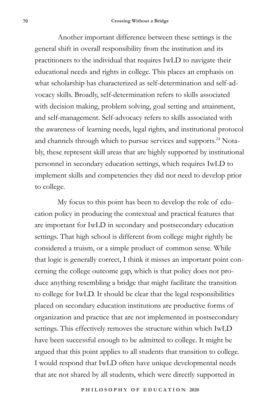Another important difference between these settings is the general shift in overall responsibility from the institution and its practitioners to the individual that requires IwLD to navigate their educational needs and rights in college. This places an emphasis on what scholarship has characterized as self-determination and self-advocacy skills. Broadly, self-determination refers to skills associated with decision making, problem solving, goal setting and attainment, and self-management. Self-advocacy refers to skills associated with the awareness of learning needs, legal rights, and institutional protocol and channels through which to pursue services and supports.<sup>24</sup> Notably, these represent skill areas that are highly supported by institutional personnel in secondary education settings, which requires IwLD to implement skills and competencies they did not need to develop prior to college.

My focus to this point has been to develop the role of education policy in producing the contextual and practical features that are important for IwLD in secondary and postsecondary education settings. That high school is different from college might rightly be considered a truism, or a simple product of common sense. While that logic is generally correct, I think it misses an important point concerning the college outcome gap, which is that policy does not produce anything resembling a bridge that might facilitate the transition to college for IwLD. It should be clear that the legal responsibilities placed on secondary education institutions are productive forms of organization and practice that are not implemented in postsecondary settings. This effectively removes the structure within which IwLD have been successful enough to be admitted to college. It might be argued that this point applies to all students that transition to college. I would respond that IwLD often have unique developmental needs that are not shared by all students, which were directly supported in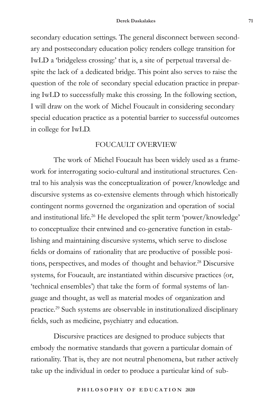secondary education settings. The general disconnect between secondary and postsecondary education policy renders college transition for IwLD a 'bridgeless crossing:' that is, a site of perpetual traversal despite the lack of a dedicated bridge. This point also serves to raise the question of the role of secondary special education practice in preparing IwLD to successfully make this crossing. In the following section, I will draw on the work of Michel Foucault in considering secondary special education practice as a potential barrier to successful outcomes in college for IwLD.

### FOUCAULT OVERVIEW

The work of Michel Foucault has been widely used as a framework for interrogating socio-cultural and institutional structures. Central to his analysis was the conceptualization of power/knowledge and discursive systems as co-extensive elements through which historically contingent norms governed the organization and operation of social and institutional life.26 He developed the split term 'power/knowledge' to conceptualize their entwined and co-generative function in establishing and maintaining discursive systems, which serve to disclose fields or domains of rationality that are productive of possible positions, perspectives, and modes of thought and behavior.<sup>28</sup> Discursive systems, for Foucault, are instantiated within discursive practices (or, 'technical ensembles') that take the form of formal systems of language and thought, as well as material modes of organization and practice.29 Such systems are observable in institutionalized disciplinary fields, such as medicine, psychiatry and education.

Discursive practices are designed to produce subjects that embody the normative standards that govern a particular domain of rationality. That is, they are not neutral phenomena, but rather actively take up the individual in order to produce a particular kind of sub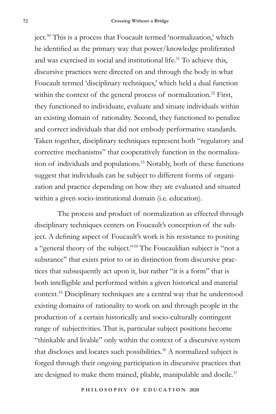ject.30 This is a process that Foucault termed 'normalization,' which he identified as the primary way that power/knowledge proliferated and was exercised in social and institutional life.<sup>31</sup> To achieve this, discursive practices were directed on and through the body in what Foucault termed 'disciplinary techniques,' which held a dual function within the context of the general process of normalization.<sup>32</sup> First, they functioned to individuate, evaluate and situate individuals within an existing domain of rationality. Second, they functioned to penalize and correct individuals that did not embody performative standards. Taken together, disciplinary techniques represent both "regulatory and corrective mechanisms" that cooperatively function in the normalization of individuals and populations.<sup>33</sup> Notably, both of these functions suggest that individuals can be subject to different forms of organization and practice depending on how they are evaluated and situated within a given socio-institutional domain (i.e. education).

The process and product of normalization as effected through disciplinary techniques centers on Foucault's conception of the subject. A defining aspect of Foucault's work is his resistance to positing a "general theory of the subject."34 The Foucauldian subject is "not a substance" that exists prior to or in distinction from discursive practices that subsequently act upon it, but rather "it is a form" that is both intelligible and performed within a given historical and material context.35 Disciplinary techniques are a central way that he understood existing domains of rationality to work on and through people in the production of a certain historically and socio-culturally contingent range of subjectivities. That is, particular subject positions become "thinkable and livable" only within the context of a discursive system that discloses and locates such possibilities.<sup>36</sup> A normalized subject is forged through their ongoing participation in discursive practices that are designed to make them trained, pliable, manipulable and docile.<sup>37</sup>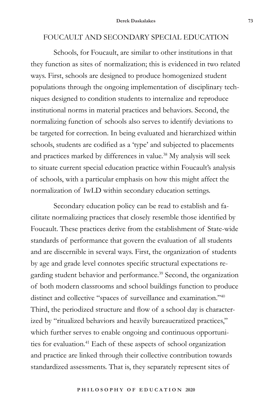# FOUCAULT AND SECONDARY SPECIAL EDUCATION

Schools, for Foucault, are similar to other institutions in that they function as sites of normalization; this is evidenced in two related ways. First, schools are designed to produce homogenized student populations through the ongoing implementation of disciplinary techniques designed to condition students to internalize and reproduce institutional norms in material practices and behaviors. Second, the normalizing function of schools also serves to identify deviations to be targeted for correction. In being evaluated and hierarchized within schools, students are codified as a 'type' and subjected to placements and practices marked by differences in value.<sup>38</sup> My analysis will seek to situate current special education practice within Foucault's analysis of schools, with a particular emphasis on how this might affect the normalization of IwLD within secondary education settings.

Secondary education policy can be read to establish and facilitate normalizing practices that closely resemble those identified by Foucault. These practices derive from the establishment of State-wide standards of performance that govern the evaluation of all students and are discernible in several ways. First, the organization of students by age and grade level connotes specific structural expectations regarding student behavior and performance.<sup>39</sup> Second, the organization of both modern classrooms and school buildings function to produce distinct and collective "spaces of surveillance and examination."40 Third, the periodized structure and flow of a school day is characterized by "ritualized behaviors and heavily bureaucratized practices," which further serves to enable ongoing and continuous opportunities for evaluation.<sup>41</sup> Each of these aspects of school organization and practice are linked through their collective contribution towards standardized assessments. That is, they separately represent sites of

**P H I L O S O P H Y O F E D U C A T I O N 2020**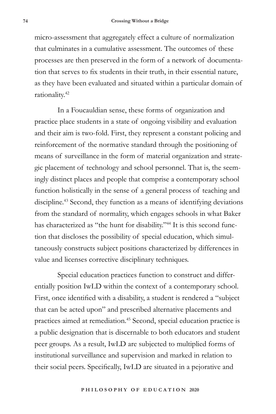micro-assessment that aggregately effect a culture of normalization that culminates in a cumulative assessment. The outcomes of these processes are then preserved in the form of a network of documentation that serves to fix students in their truth, in their essential nature, as they have been evaluated and situated within a particular domain of rationality.42

In a Foucauldian sense, these forms of organization and practice place students in a state of ongoing visibility and evaluation and their aim is two-fold. First, they represent a constant policing and reinforcement of the normative standard through the positioning of means of surveillance in the form of material organization and strategic placement of technology and school personnel. That is, the seemingly distinct places and people that comprise a contemporary school function holistically in the sense of a general process of teaching and discipline.<sup>43</sup> Second, they function as a means of identifying deviations from the standard of normality, which engages schools in what Baker has characterized as "the hunt for disability."<sup>44</sup> It is this second function that discloses the possibility of special education, which simultaneously constructs subject positions characterized by differences in value and licenses corrective disciplinary techniques.

Special education practices function to construct and differentially position IwLD within the context of a contemporary school. First, once identified with a disability, a student is rendered a "subject that can be acted upon" and prescribed alternative placements and practices aimed at remediation.45 Second, special education practice is a public designation that is discernable to both educators and student peer groups. As a result, IwLD are subjected to multiplied forms of institutional surveillance and supervision and marked in relation to their social peers. Specifically, IwLD are situated in a pejorative and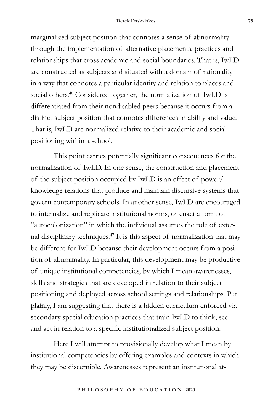#### **Derek Daskalakes 75**

marginalized subject position that connotes a sense of abnormality through the implementation of alternative placements, practices and relationships that cross academic and social boundaries. That is, IwLD are constructed as subjects and situated with a domain of rationality in a way that connotes a particular identity and relation to places and social others.<sup>46</sup> Considered together, the normalization of IwLD is differentiated from their nondisabled peers because it occurs from a distinct subject position that connotes differences in ability and value. That is, IwLD are normalized relative to their academic and social positioning within a school.

This point carries potentially significant consequences for the normalization of IwLD. In one sense, the construction and placement of the subject position occupied by IwLD is an effect of power/ knowledge relations that produce and maintain discursive systems that govern contemporary schools. In another sense, IwLD are encouraged to internalize and replicate institutional norms, or enact a form of "autocolonization" in which the individual assumes the role of external disciplinary techniques.47 It is this aspect of normalization that may be different for IwLD because their development occurs from a position of abnormality. In particular, this development may be productive of unique institutional competencies, by which I mean awarenesses, skills and strategies that are developed in relation to their subject positioning and deployed across school settings and relationships. Put plainly, I am suggesting that there is a hidden curriculum enforced via secondary special education practices that train IwLD to think, see and act in relation to a specific institutionalized subject position.

Here I will attempt to provisionally develop what I mean by institutional competencies by offering examples and contexts in which they may be discernible. Awarenesses represent an institutional at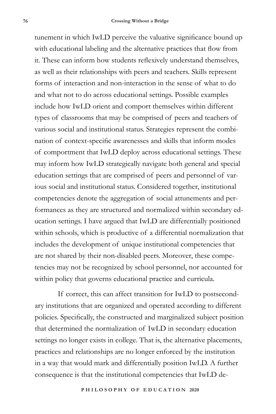tunement in which IwLD perceive the valuative significance bound up with educational labeling and the alternative practices that flow from it. These can inform how students reflexively understand themselves, as well as their relationships with peers and teachers. Skills represent forms of interaction and non-interaction in the sense of what to do and what not to do across educational settings. Possible examples include how IwLD orient and comport themselves within different types of classrooms that may be comprised of peers and teachers of various social and institutional status. Strategies represent the combination of context-specific awarenesses and skills that inform modes of comportment that IwLD deploy across educational settings. These may inform how IwLD strategically navigate both general and special education settings that are comprised of peers and personnel of various social and institutional status. Considered together, institutional competencies denote the aggregation of social attunements and performances as they are structured and normalized within secondary education settings. I have argued that IwLD are differentially positioned within schools, which is productive of a differential normalization that includes the development of unique institutional competencies that are not shared by their non-disabled peers. Moreover, these competencies may not be recognized by school personnel, nor accounted for within policy that governs educational practice and curricula.

If correct, this can affect transition for IwLD to postsecondary institutions that are organized and operated according to different policies. Specifically, the constructed and marginalized subject position that determined the normalization of IwLD in secondary education settings no longer exists in college. That is, the alternative placements, practices and relationships are no longer enforced by the institution in a way that would mark and differentially position IwLD. A further consequence is that the institutional competencies that IwLD de-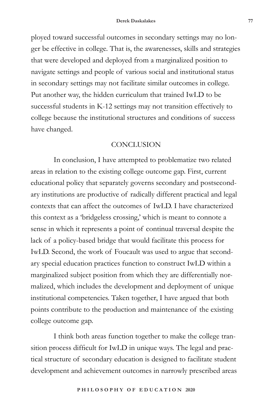ployed toward successful outcomes in secondary settings may no longer be effective in college. That is, the awarenesses, skills and strategies that were developed and deployed from a marginalized position to navigate settings and people of various social and institutional status in secondary settings may not facilitate similar outcomes in college. Put another way, the hidden curriculum that trained IwLD to be successful students in K-12 settings may not transition effectively to college because the institutional structures and conditions of success have changed.

## **CONCLUSION**

In conclusion, I have attempted to problematize two related areas in relation to the existing college outcome gap. First, current educational policy that separately governs secondary and postsecondary institutions are productive of radically different practical and legal contexts that can affect the outcomes of IwLD. I have characterized this context as a 'bridgeless crossing,' which is meant to connote a sense in which it represents a point of continual traversal despite the lack of a policy-based bridge that would facilitate this process for IwLD. Second, the work of Foucault was used to argue that secondary special education practices function to construct IwLD within a marginalized subject position from which they are differentially normalized, which includes the development and deployment of unique institutional competencies. Taken together, I have argued that both points contribute to the production and maintenance of the existing college outcome gap.

I think both areas function together to make the college transition process difficult for IwLD in unique ways. The legal and practical structure of secondary education is designed to facilitate student development and achievement outcomes in narrowly prescribed areas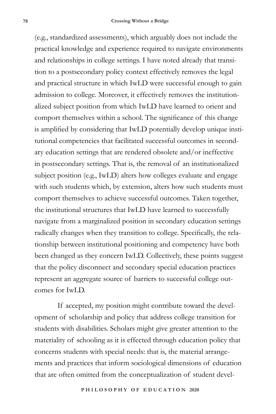(e.g., standardized assessments), which arguably does not include the practical knowledge and experience required to navigate environments and relationships in college settings. I have noted already that transition to a postsecondary policy context effectively removes the legal and practical structure in which IwLD were successful enough to gain admission to college. Moreover, it effectively removes the institutionalized subject position from which IwLD have learned to orient and comport themselves within a school. The significance of this change is amplified by considering that IwLD potentially develop unique institutional competencies that facilitated successful outcomes in secondary education settings that are rendered obsolete and/or ineffective in postsecondary settings. That is, the removal of an institutionalized subject position (e.g., IwLD) alters how colleges evaluate and engage with such students which, by extension, alters how such students must comport themselves to achieve successful outcomes. Taken together, the institutional structures that IwLD have learned to successfully navigate from a marginalized position in secondary education settings radically changes when they transition to college. Specifically, the relationship between institutional positioning and competency have both been changed as they concern IwLD. Collectively, these points suggest that the policy disconnect and secondary special education practices represent an aggregate source of barriers to successful college outcomes for IwLD.

If accepted, my position might contribute toward the development of scholarship and policy that address college transition for students with disabilities. Scholars might give greater attention to the materiality of schooling as it is effected through education policy that concerns students with special needs: that is, the material arrangements and practices that inform sociological dimensions of education that are often omitted from the conceptualization of student devel-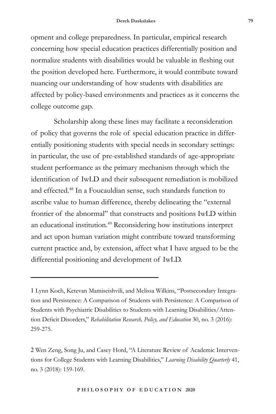#### **Derek Daskalakes 79**

opment and college preparedness. In particular, empirical research concerning how special education practices differentially position and normalize students with disabilities would be valuable in fleshing out the position developed here. Furthermore, it would contribute toward nuancing our understanding of how students with disabilities are affected by policy-based environments and practices as it concerns the college outcome gap.

Scholarship along these lines may facilitate a reconsideration of policy that governs the role of special education practice in differentially positioning students with special needs in secondary settings: in particular, the use of pre-established standards of age-appropriate student performance as the primary mechanism through which the identification of IwLD and their subsequent remediation is mobilized and effected.48 In a Foucauldian sense, such standards function to ascribe value to human difference, thereby delineating the "external frontier of the abnormal" that constructs and positions IwLD within an educational institution.49 Reconsidering how institutions interpret and act upon human variation might contribute toward transforming current practice and, by extension, affect what I have argued to be the differential positioning and development of IwLD.

<sup>1</sup> Lynn Koch, Ketevan Mamiseishvili, and Melissa Wilkins, "Postsecondary Integration and Persistence: A Comparison of Students with Persistence: A Comparison of Students with Psychiatric Disabilities to Students with Learning Disabilities/Attention Deficit Disorders," *Rehabilitation Research, Policy, and Education* 30, no. 3 (2016): 259-275.

<sup>2</sup> Wen Zeng, Song Ju, and Casey Hord, "A Literature Review of Academic Interventions for College Students with Learning Disabilities," *Learning Disability Quarterly* 41, no. 3 (2018): 159-169.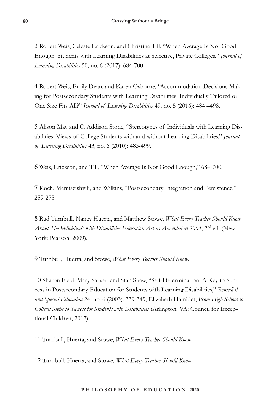3 Robert Weis, Celeste Erickson, and Christina Till, "When Average Is Not Good Enough: Students with Learning Disabilities at Selective, Private Colleges," *Journal of Learning Disabilities* 50, no. 6 (2017): 684-700.

4 Robert Weis, Emily Dean, and Karen Osborne, "Accommodation Decisions Making for Postsecondary Students with Learning Disabilities: Individually Tailored or One Size Fits All?" *Journal of Learning Disabilities* 49, no. 5 (2016): 484 –498.

5 Alison May and C. Addison Stone, "Stereotypes of Individuals with Learning Disabilities: Views of College Students with and without Learning Disabilities," *Journal of Learning Disabilities* 43, no. 6 (2010): 483-499.

6 Weis, Erickson, and Till, "When Average Is Not Good Enough," 684-700.

7 Koch, Mamiseishvili, and Wilkins, "Postsecondary Integration and Persistence," 259-275.

8 Rud Turnbull, Nancy Huerta, and Matthew Stowe, *What Every Teacher Should Know About The Individuals with Disabilities Education Act as Amended in 2004*, 2nd ed. (New York: Pearson, 2009).

9 Turnbull, Huerta, and Stowe, *What Every Teacher Should Know*.

10 Sharon Field, Mary Sarver, and Stan Shaw, "Self-Determination: A Key to Success in Postsecondary Education for Students with Learning Disabilities," *Remedial and Special Education* 24, no. 6 (2003): 339-349; Elizabeth Hamblet, *From High School to College: Steps to Success for Students with Disabilities* (Arlington, VA: Council for Exceptional Children, 2017).

11 Turnbull, Huerta, and Stowe, *What Every Teacher Should Know.*

12 Turnbull, Huerta, and Stowe, *What Every Teacher Should Know* .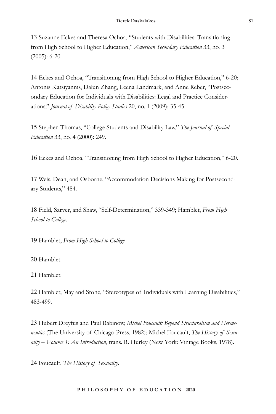13 Suzanne Eckes and Theresa Ochoa, "Students with Disabilities: Transitioning from High School to Higher Education," *American Secondary Education* 33, no. 3 (2005): 6-20.

14 Eckes and Ochoa, "Transitioning from High School to Higher Education," 6-20; Antonis Katsiyannis, Dalun Zhang, Leena Landmark, and Anne Reber, "Postsecondary Education for Individuals with Disabilities: Legal and Practice Considerations," *Journal of Disability Policy Studies* 20, no. 1 (2009): 35-45.

15 Stephen Thomas, "College Students and Disability Law," *The Journal of Special Education* 33, no. 4 (2000): 249.

16 Eckes and Ochoa, "Transitioning from High School to Higher Education," 6-20.

17 Weis, Dean, and Osborne, "Accommodation Decisions Making for Postsecondary Students," 484.

18 Field, Sarver, and Shaw, "Self-Determination," 339-349; Hamblet, *From High School to College.*

19 Hamblet, *From High School to College.* 

20 Hamblet.

21 Hamblet.

22 Hamblet; May and Stone, "Stereotypes of Individuals with Learning Disabilities," 483-499.

23 Hubert Dreyfus and Paul Rabinow, *Michel Foucault: Beyond Structuralism and Hermeneutics* (The University of Chicago Press, 1982); Michel Foucault, *The History of Sexuality – Volume 1: An Introduction*, trans. R. Hurley (New York: Vintage Books, 1978).

24 Foucault, *The History of Sexuality*.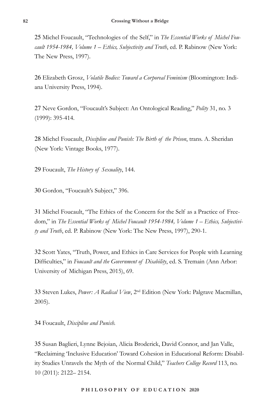25 Michel Foucault, "Technologies of the Self," in *The Essential Works of Michel Foucault 1954-1984, Volume 1 – Ethics, Subjectivity and Truth*, ed. P. Rabinow (New York: The New Press, 1997).

26 Elizabeth Grosz, *Volatile Bodies: Toward a Corporeal Feminism* (Bloomington: Indiana University Press, 1994).

27 Neve Gordon, "Foucault's Subject: An Ontological Reading," *Polity* 31, no. 3 (1999): 395-414.

28 Michel Foucault, *Discipline and Punish: The Birth of the Prison*, trans. A. Sheridan (New York: Vintage Books, 1977).

29 Foucault, *The History of Sexuality*, 144.

30 Gordon, "Foucault's Subject," 396.

31 Michel Foucault, "The Ethics of the Concern for the Self as a Practice of Freedom," in *The Essential Works of Michel Foucault 1954-1984, Volume 1 – Ethics, Subjectivity and Truth*, ed. P. Rabinow (New York: The New Press, 1997), 290-1.

32 Scott Yates, "Truth, Power, and Ethics in Care Services for People with Learning Difficulties," in *Foucault and the Government of Disability*, ed. S. Tremain (Ann Arbor: University of Michigan Press, 2015), 69.

33 Steven Lukes, *Power: A Radical View*, 2nd Edition (New York: Palgrave Macmillan, 2005).

34 Foucault, *Discipline and Punish.* 

35 Susan Baglieri, Lynne Bejoian, Alicia Broderick, David Connor, and Jan Valle, "Reclaiming 'Inclusive Education' Toward Cohesion in Educational Reform: Disability Studies Unravels the Myth of the Normal Child," *Teachers College Record* 113, no. 10 (2011): 2122– 2154.